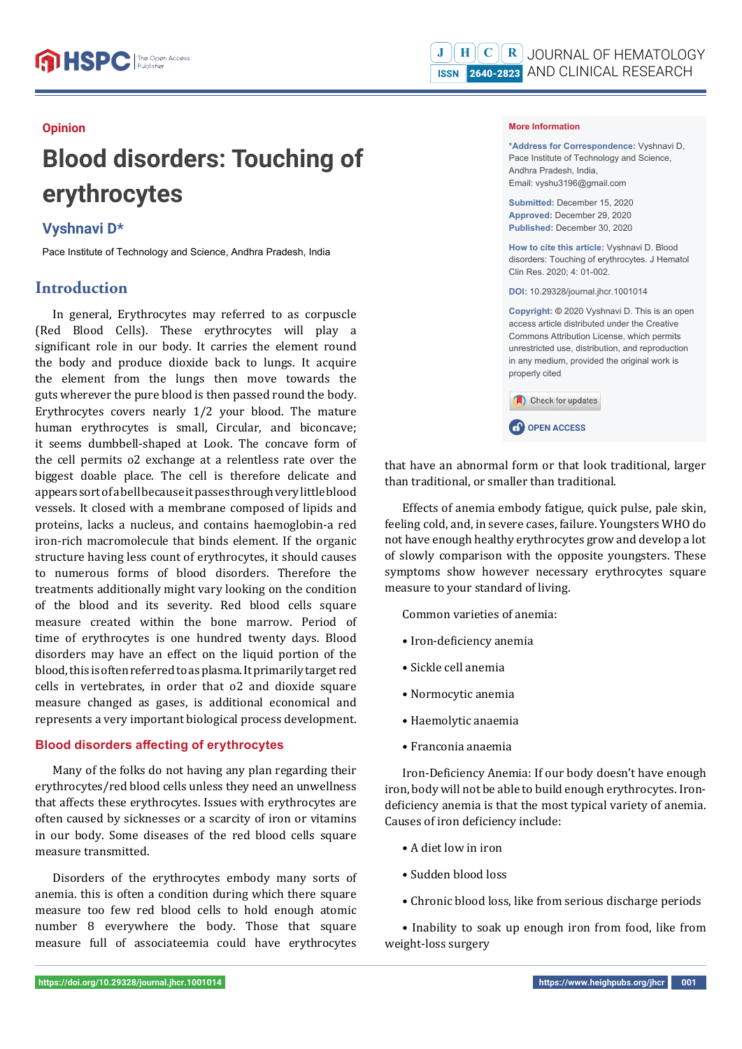## **Opinion**

# **Blood disorders: Touching of erythrocytes**

# **Vyshnavi D\***

Pace Institute of Technology and Science, Andhra Pradesh, India

# **Introduction**

In general, Erythrocytes may referred to as corpuscle (Red Blood Cells). These erythrocytes will play a significant role in our body. It carries the element round the body and produce dioxide back to lungs. It acquire the element from the lungs then move towards the guts wherever the pure blood is then passed round the body. Erythrocytes covers nearly 1/2 your blood. The mature human erythrocytes is small, Circular, and biconcave; it seems dumbbell-shaped at Look. The concave form of the cell permits o2 exchange at a relentless rate over the biggest doable place. The cell is therefore delicate and appears sort of a bell because it passes through very little blood vessels. It closed with a membrane composed of lipids and proteins, lacks a nucleus, and contains haemoglobin-a red iron-rich macromolecule that binds element. If the organic structure having less count of erythrocytes, it should causes to numerous forms of blood disorders. Therefore the treatments additionally might vary looking on the condition of the blood and its severity. Red blood cells square measure created within the bone marrow. Period of time of erythrocytes is one hundred twenty days. Blood disorders may have an effect on the liquid portion of the blood, this is often referred to as plasma. It primarily target red cells in vertebrates, in order that o2 and dioxide square measure changed as gases, is additional economical and represents a very important biological process development.

## **Blood disorders affecting of erythrocytes**

Many of the folks do not having any plan regarding their erythrocytes/red blood cells unless they need an unwellness that affects these erythrocytes. Issues with erythrocytes are often caused by sicknesses or a scarcity of iron or vitamins in our body. Some diseases of the red blood cells square measure transmitted.

Disorders of the erythrocytes embody many sorts of anemia. this is often a condition during which there square measure too few red blood cells to hold enough atomic number 8 everywhere the body. Those that square measure full of associateemia could have erythrocytes

#### **More Information**

**\*Address for Correspondence:** Vyshnavi D, Pace Institute of Technology and Science, Andhra Pradesh, India, Email: vyshu3196@gmail.com **Submitted:** December 15, 2020 **Approved:** December 29, 2020 **Published:** December 30, 2020 **How to cite this article:** Vyshnavi D. Blood disorders: Touching of erythrocytes. J Hematol Clin Res. 2020; 4: 01-002. **DOI:** 10.29328/journal.jhcr.1001014 **Copyright: ©** 2020 Vyshnavi D. This is an open access article distributed under the Creative Commons Attribution License, which permits unrestricted use, distribution, and reproduction in any medium, provided the original work is properly cited Check for updates **CP** OPEN ACCESS

that have an abnormal form or that look traditional, larger than traditional, or smaller than traditional.

Effects of anemia embody fatigue, quick pulse, pale skin, feeling cold, and, in severe cases, failure. Youngsters WHO do not have enough healthy erythrocytes grow and develop a lot of slowly comparison with the opposite youngsters. These symptoms show however necessary erythrocytes square measure to your standard of living.

Common varieties of anemia:

- Iron-deficiency anemia
- Sickle cell anemia
- Normocytic anemia
- Haemolytic anaemia
- Franconia anaemia

Iron-Deficiency Anemia: If our body doesn't have enough iron, body will not be able to build enough erythrocytes. Irondeficiency anemia is that the most typical variety of anemia. Causes of iron deficiency include:

- A diet low in iron
- Sudden blood loss
- Chronic blood loss, like from serious discharge periods

• Inability to soak up enough iron from food, like from weight-loss surgery